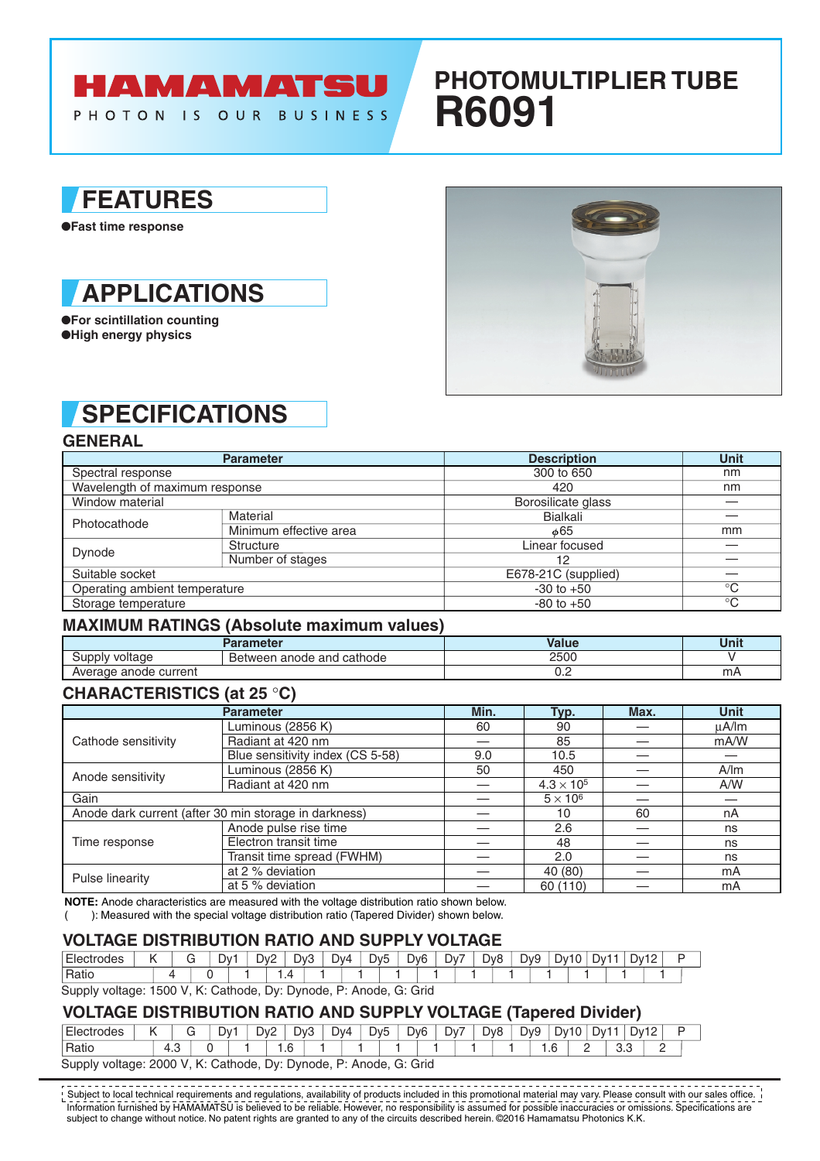# **HAMAMATSU**

PHOTON IS OUR BUSINESS

## **PHOTOMULTIPLIER TUBE R6091**

### **FEATURES**

●**Fast time response**



●**For scintillation counting** ●**High energy physics**



### **SPECIFICATIONS**

**GENERAL**

|                                                                                                                                | <b>Parameter</b> | <b>Description</b>  | Unit        |
|--------------------------------------------------------------------------------------------------------------------------------|------------------|---------------------|-------------|
| Spectral response                                                                                                              |                  | 300 to 650          | nm          |
|                                                                                                                                |                  | 420                 | nm          |
| Wavelength of maximum response<br>Window material<br>Material<br>Photocathode<br>Minimum effective area<br>Structure<br>Dynode |                  | Borosilicate glass  |             |
|                                                                                                                                |                  | Bialkali            |             |
|                                                                                                                                |                  | $\phi$ 65           | mm          |
|                                                                                                                                |                  | Linear focused      |             |
|                                                                                                                                | Number of stages | 12                  |             |
| Suitable socket                                                                                                                |                  | E678-21C (supplied) |             |
| Operating ambient temperature                                                                                                  |                  | $-30$ to $+50$      | $^{\circ}C$ |
| Storage temperature                                                                                                            |                  | $-80$ to $+50$      | $^{\circ}C$ |

### **MAXIMUM RATINGS (Absolute maximum values)**

|                       | Parameter                           | Value | Unit |
|-----------------------|-------------------------------------|-------|------|
| voltage<br>- upplvد   | anode and cathode<br><b>Between</b> | 2500  |      |
| Average anode current |                                     | ◡.←   | mΑ   |

### **CHARACTERISTICS (at 25** °**C)**

|                                                                                                                            | <b>Parameter</b>                 | Min. | Typ.                | Max. | <b>Unit</b> |
|----------------------------------------------------------------------------------------------------------------------------|----------------------------------|------|---------------------|------|-------------|
|                                                                                                                            | Luminous (2856 K)                | 60   | 90                  |      | uA/lm       |
| Cathode sensitivity<br>Anode sensitivity<br>Gain<br>Anode dark current (after 30 min storage in darkness)<br>Time response | Radiant at 420 nm                |      | 85                  |      | mA/W        |
|                                                                                                                            | Blue sensitivity index (CS 5-58) | 9.0  | 10.5                |      |             |
|                                                                                                                            | Luminous (2856 K)                | 50   | 450                 |      | A/m         |
|                                                                                                                            | Radiant at 420 nm                |      | $4.3 \times 10^{5}$ |      | A/W         |
|                                                                                                                            |                                  |      | $5 \times 10^6$     |      |             |
|                                                                                                                            |                                  |      | 10                  | 60   | nA          |
|                                                                                                                            | Anode pulse rise time            |      | 2.6                 |      | ns          |
|                                                                                                                            | Electron transit time            |      | 48                  |      | ns          |
|                                                                                                                            | Transit time spread (FWHM)       |      | 2.0                 |      | ns          |
| Pulse linearity                                                                                                            | at 2 % deviation                 |      | 40 (80)             |      | mA          |
|                                                                                                                            | at 5 % deviation                 |      | 60 (110)            |      | mA          |

**NOTE:** Anode characteristics are measured with the voltage distribution ratio shown below.

( ): Measured with the special voltage distribution ratio (Tapered Divider) shown below.

#### **VOLTAGE DISTRIBUTION RATIO AND SUPPLY VOLTAGE**

| <b>Fler</b><br>odes |  | Dv. |                    | D <sub>v</sub> 2 | D <sub>v</sub> 3 |            | Dv4<br>ັ | D <sub>v5</sub> | Dv <sub>6</sub> | Dv7 | D <sub>v</sub> 8 | D <sub>v9</sub> | Dv10 | $\sim$ | Dv1 | Dv12 | L |  |
|---------------------|--|-----|--------------------|------------------|------------------|------------|----------|-----------------|-----------------|-----|------------------|-----------------|------|--------|-----|------|---|--|
| <sup>'</sup> Ratic  |  |     |                    |                  |                  |            |          |                 |                 |     |                  |                 |      |        |     |      |   |  |
| P(                  |  |     | C <sub>other</sub> |                  |                  | Dur Dunada | D.       | Anodo C. Crid   |                 |     |                  |                 |      |        |     |      |   |  |

Supply voltage: 1500 V, K: Cathode, Dy: Dynode, P: Anode, G: Grid

#### **VOLTAGE DISTRIBUTION RATIO AND SUPPLY VOLTAGE (Tapered Divider)**

| Elect<br>ctrodes |                                                                                                   |     |  | Dv <sup>-</sup> |  | D <sub>v</sub> 2 | Dv3    |  | Dv4 | D <sub>v5</sub> | D <sub>v</sub> <sub>6</sub> |  | Dv7 | D <sub>v</sub> 8 | Dv9           | Dv1 | ∵∨ل |                      | Dv12 |   |
|------------------|---------------------------------------------------------------------------------------------------|-----|--|-----------------|--|------------------|--------|--|-----|-----------------|-----------------------------|--|-----|------------------|---------------|-----|-----|----------------------|------|---|
| Ratio            |                                                                                                   | - ت |  |                 |  |                  | $.6\,$ |  |     |                 |                             |  |     |                  | $\cdot \cdot$ |     | -   | $\sim$ $\sim$<br>u.u |      | - |
| Supply           | G: Grid<br>Cathode, '<br>2000<br>Dv:<br>Anode.<br>$\sim$<br>Dynode.<br>י ש<br>voltage:<br>v<br>`` |     |  |                 |  |                  |        |  |     |                 |                             |  |     |                  |               |     |     |                      |      |   |

Information furnished by HAMAMATSU is believed to be reliable. However, no responsibility is assumed for possible inaccuracies or omissions. Specifications are subject to change without notice. No patent rights are granted to any of the circuits described herein. ©2016 Hamamatsu Photonics K.K.  $^!$  Subject to local technical requirements and regulations, availability of products included in this promotional material may vary. Please consult with our sales office.  $\,$